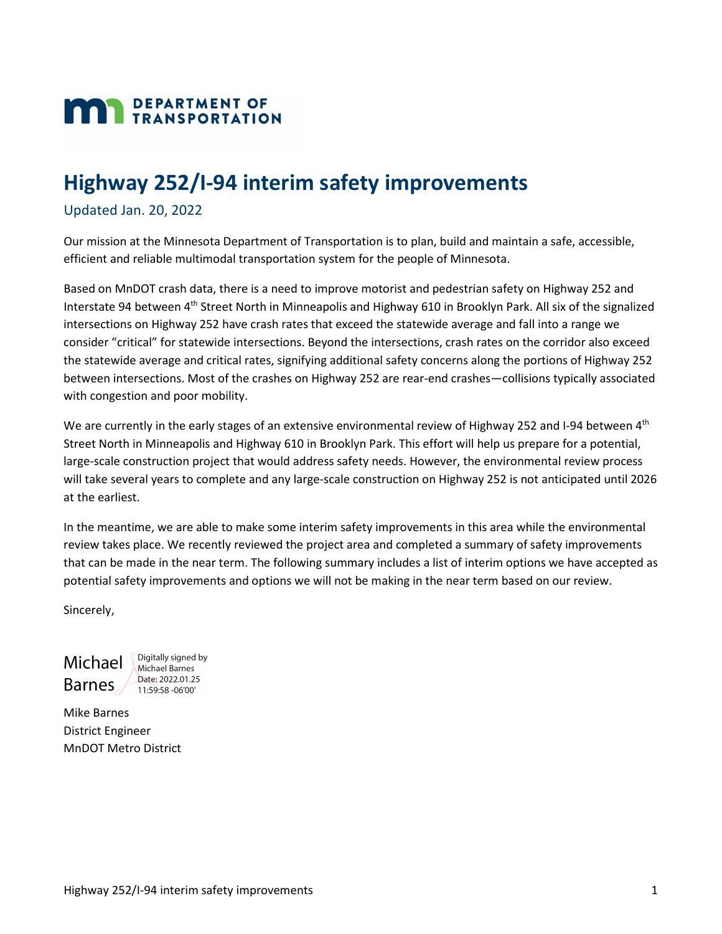# **MAN** DEPARTMENT OF

# **Highway 252/I-94 interim safety improvements**

#### Updated Jan. 20, 2022

Our mission at the Minnesota Department of Transportation is to plan, build and maintain a safe, accessible, efficient and reliable multimodal transportation system for the people of Minnesota.

Based on MnDOT crash data, there is a need to improve motorist and pedestrian safety on Highway 252 and Interstate 94 between 4<sup>th</sup> Street North in Minneapolis and Highway 610 in Brooklyn Park. All six of the signalized intersections on Highway 252 have crash rates that exceed the statewide average and fall into a range we consider "critical" for statewide intersections. Beyond the intersections, crash rates on the corridor also exceed the statewide average and critical rates, signifying additional safety concerns along the portions of Highway 252 between intersections. Most of the crashes on Highway 252 are rear-end crashes—collisions typically associated with congestion and poor mobility.

We are currently in the early stages of an extensive environmental review of Highway 252 and I-94 between 4<sup>th</sup> Street North in Minneapolis and Highway 610 in Brooklyn Park. This effort will help us prepare for a potential, large-scale construction project that would address safety needs. However, the environmental review process will take several years to complete and any large-scale construction on Highway 252 is not anticipated until 2026 at the earliest.

In the meantime, we are able to make some interim safety improvements in this area while the environmental review takes place. We recently reviewed the project area and completed a summary of safety improvements that can be made in the near term. The following summary includes a list of interim options we have accepted as potential safety improvements and options we will not be making in the near term based on our review.

Sincerely,

Michael **Barnes** 

Digitally signed by **Michael Barnes** Date: 2022.01.25 11:59:58 -06'00'

Mike Barnes District Engineer MnDOT Metro District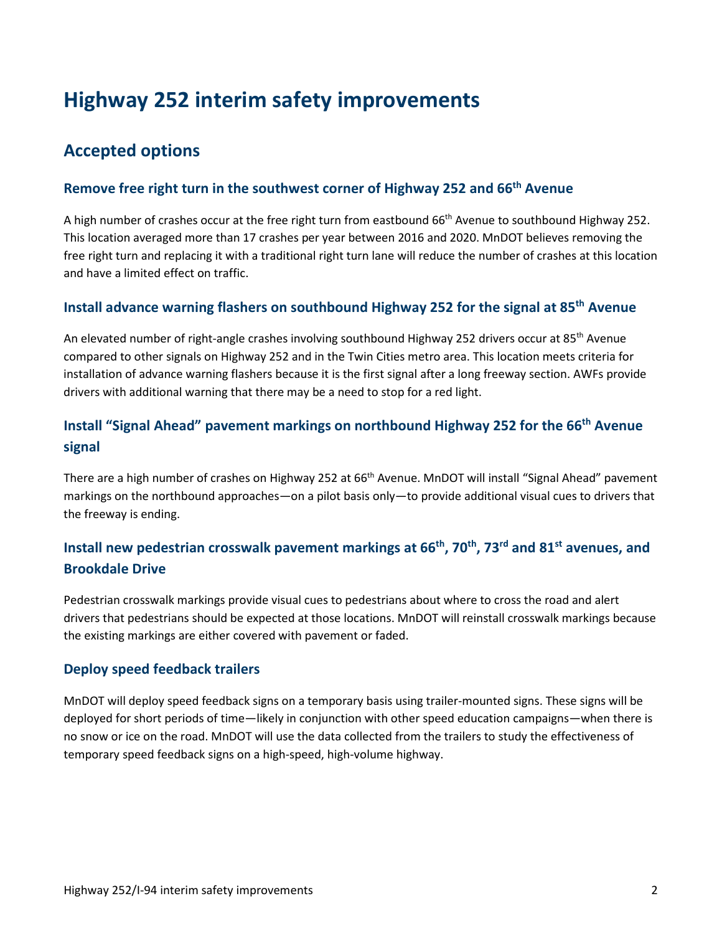# **Highway 252 interim safety improvements**

# **Accepted options**

#### **Remove free right turn in the southwest corner of Highway 252 and 66th Avenue**

A high number of crashes occur at the free right turn from eastbound 66<sup>th</sup> Avenue to southbound Highway 252. This location averaged more than 17 crashes per year between 2016 and 2020. MnDOT believes removing the free right turn and replacing it with a traditional right turn lane will reduce the number of crashes at this location and have a limited effect on traffic.

#### **Install advance warning flashers on southbound Highway 252 for the signal at 85th Avenue**

An elevated number of right-angle crashes involving southbound Highway 252 drivers occur at 85<sup>th</sup> Avenue compared to other signals on Highway 252 and in the Twin Cities metro area. This location meets criteria for installation of advance warning flashers because it is the first signal after a long freeway section. AWFs provide drivers with additional warning that there may be a need to stop for a red light.

# **Install "Signal Ahead" pavement markings on northbound Highway 252 for the 66th Avenue signal**

There are a high number of crashes on Highway 252 at 66<sup>th</sup> Avenue. MnDOT will install "Signal Ahead" pavement markings on the northbound approaches—on a pilot basis only—to provide additional visual cues to drivers that the freeway is ending.

## **Install new pedestrian crosswalk pavement markings at 66th, 70th, 73rd and 81st avenues, and Brookdale Drive**

Pedestrian crosswalk markings provide visual cues to pedestrians about where to cross the road and alert drivers that pedestrians should be expected at those locations. MnDOT will reinstall crosswalk markings because the existing markings are either covered with pavement or faded.

#### **Deploy speed feedback trailers**

MnDOT will deploy speed feedback signs on a temporary basis using trailer-mounted signs. These signs will be deployed for short periods of time—likely in conjunction with other speed education campaigns—when there is no snow or ice on the road. MnDOT will use the data collected from the trailers to study the effectiveness of temporary speed feedback signs on a high-speed, high-volume highway.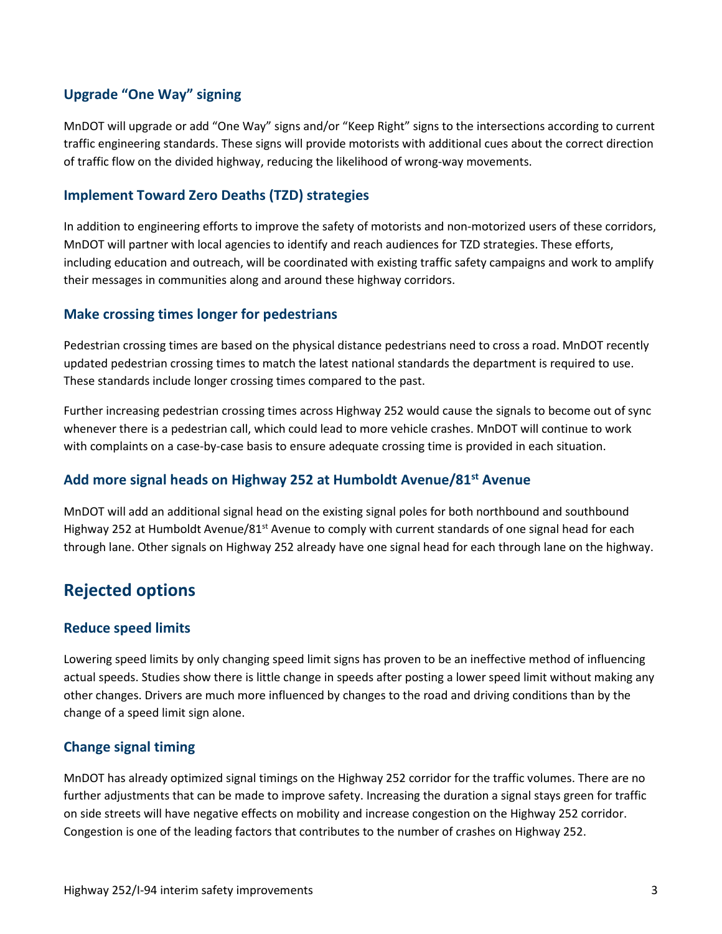#### **Upgrade "One Way" signing**

MnDOT will upgrade or add "One Way" signs and/or "Keep Right" signs to the intersections according to current traffic engineering standards. These signs will provide motorists with additional cues about the correct direction of traffic flow on the divided highway, reducing the likelihood of wrong-way movements.

#### **Implement Toward Zero Deaths (TZD) strategies**

In addition to engineering efforts to improve the safety of motorists and non-motorized users of these corridors, MnDOT will partner with local agencies to identify and reach audiences for TZD strategies. These efforts, including education and outreach, will be coordinated with existing traffic safety campaigns and work to amplify their messages in communities along and around these highway corridors.

#### **Make crossing times longer for pedestrians**

Pedestrian crossing times are based on the physical distance pedestrians need to cross a road. MnDOT recently updated pedestrian crossing times to match the latest national standards the department is required to use. These standards include longer crossing times compared to the past.

Further increasing pedestrian crossing times across Highway 252 would cause the signals to become out of sync whenever there is a pedestrian call, which could lead to more vehicle crashes. MnDOT will continue to work with complaints on a case-by-case basis to ensure adequate crossing time is provided in each situation.

#### **Add more signal heads on Highway 252 at Humboldt Avenue/81st Avenue**

MnDOT will add an additional signal head on the existing signal poles for both northbound and southbound Highway 252 at Humboldt Avenue/81<sup>st</sup> Avenue to comply with current standards of one signal head for each through lane. Other signals on Highway 252 already have one signal head for each through lane on the highway.

# **Rejected options**

#### **Reduce speed limits**

Lowering speed limits by only changing speed limit signs has proven to be an ineffective method of influencing actual speeds. Studies show there is little change in speeds after posting a lower speed limit without making any other changes. Drivers are much more influenced by changes to the road and driving conditions than by the change of a speed limit sign alone.

#### **Change signal timing**

MnDOT has already optimized signal timings on the Highway 252 corridor for the traffic volumes. There are no further adjustments that can be made to improve safety. Increasing the duration a signal stays green for traffic on side streets will have negative effects on mobility and increase congestion on the Highway 252 corridor. Congestion is one of the leading factors that contributes to the number of crashes on Highway 252.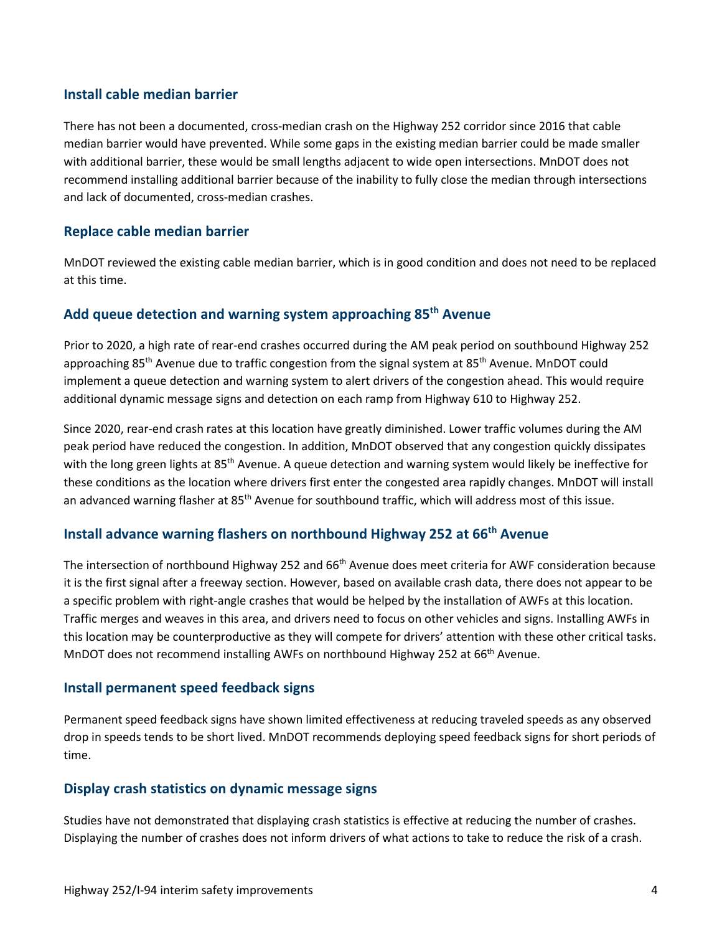#### **Install cable median barrier**

There has not been a documented, cross-median crash on the Highway 252 corridor since 2016 that cable median barrier would have prevented. While some gaps in the existing median barrier could be made smaller with additional barrier, these would be small lengths adjacent to wide open intersections. MnDOT does not recommend installing additional barrier because of the inability to fully close the median through intersections and lack of documented, cross-median crashes.

#### **Replace cable median barrier**

MnDOT reviewed the existing cable median barrier, which is in good condition and does not need to be replaced at this time.

## **Add queue detection and warning system approaching 85th Avenue**

Prior to 2020, a high rate of rear-end crashes occurred during the AM peak period on southbound Highway 252 approaching 85<sup>th</sup> Avenue due to traffic congestion from the signal system at 85<sup>th</sup> Avenue. MnDOT could implement a queue detection and warning system to alert drivers of the congestion ahead. This would require additional dynamic message signs and detection on each ramp from Highway 610 to Highway 252.

Since 2020, rear-end crash rates at this location have greatly diminished. Lower traffic volumes during the AM peak period have reduced the congestion. In addition, MnDOT observed that any congestion quickly dissipates with the long green lights at 85<sup>th</sup> Avenue. A queue detection and warning system would likely be ineffective for these conditions as the location where drivers first enter the congested area rapidly changes. MnDOT will install an advanced warning flasher at 85<sup>th</sup> Avenue for southbound traffic, which will address most of this issue.

#### **Install advance warning flashers on northbound Highway 252 at 66th Avenue**

The intersection of northbound Highway 252 and 66<sup>th</sup> Avenue does meet criteria for AWF consideration because it is the first signal after a freeway section. However, based on available crash data, there does not appear to be a specific problem with right-angle crashes that would be helped by the installation of AWFs at this location. Traffic merges and weaves in this area, and drivers need to focus on other vehicles and signs. Installing AWFs in this location may be counterproductive as they will compete for drivers' attention with these other critical tasks. MnDOT does not recommend installing AWFs on northbound Highway 252 at 66<sup>th</sup> Avenue.

#### **Install permanent speed feedback signs**

Permanent speed feedback signs have shown limited effectiveness at reducing traveled speeds as any observed drop in speeds tends to be short lived. MnDOT recommends deploying speed feedback signs for short periods of time.

#### **Display crash statistics on dynamic message signs**

Studies have not demonstrated that displaying crash statistics is effective at reducing the number of crashes. Displaying the number of crashes does not inform drivers of what actions to take to reduce the risk of a crash.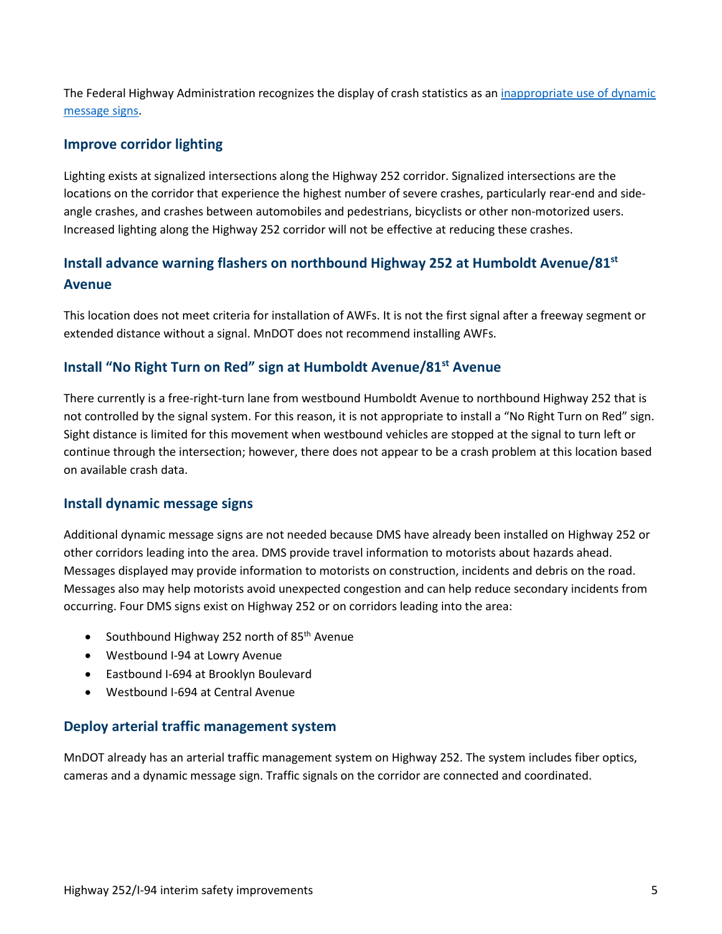The Federal Highway Administration recognizes the display of crash statistics as an [inappropriate use of dynamic](https://mutcd.fhwa.dot.gov/resources/interpretations/2_09_174.htm)  [message signs.](https://mutcd.fhwa.dot.gov/resources/interpretations/2_09_174.htm)

#### **Improve corridor lighting**

Lighting exists at signalized intersections along the Highway 252 corridor. Signalized intersections are the locations on the corridor that experience the highest number of severe crashes, particularly rear-end and sideangle crashes, and crashes between automobiles and pedestrians, bicyclists or other non-motorized users. Increased lighting along the Highway 252 corridor will not be effective at reducing these crashes.

# **Install advance warning flashers on northbound Highway 252 at Humboldt Avenue/81st Avenue**

This location does not meet criteria for installation of AWFs. It is not the first signal after a freeway segment or extended distance without a signal. MnDOT does not recommend installing AWFs.

#### **Install "No Right Turn on Red" sign at Humboldt Avenue/81st Avenue**

There currently is a free-right-turn lane from westbound Humboldt Avenue to northbound Highway 252 that is not controlled by the signal system. For this reason, it is not appropriate to install a "No Right Turn on Red" sign. Sight distance is limited for this movement when westbound vehicles are stopped at the signal to turn left or continue through the intersection; however, there does not appear to be a crash problem at this location based on available crash data.

#### **Install dynamic message signs**

Additional dynamic message signs are not needed because DMS have already been installed on Highway 252 or other corridors leading into the area. DMS provide travel information to motorists about hazards ahead. Messages displayed may provide information to motorists on construction, incidents and debris on the road. Messages also may help motorists avoid unexpected congestion and can help reduce secondary incidents from occurring. Four DMS signs exist on Highway 252 or on corridors leading into the area:

- Southbound Highway 252 north of  $85<sup>th</sup>$  Avenue
- Westbound I-94 at Lowry Avenue
- Eastbound I-694 at Brooklyn Boulevard
- Westbound I-694 at Central Avenue

#### **Deploy arterial traffic management system**

MnDOT already has an arterial traffic management system on Highway 252. The system includes fiber optics, cameras and a dynamic message sign. Traffic signals on the corridor are connected and coordinated.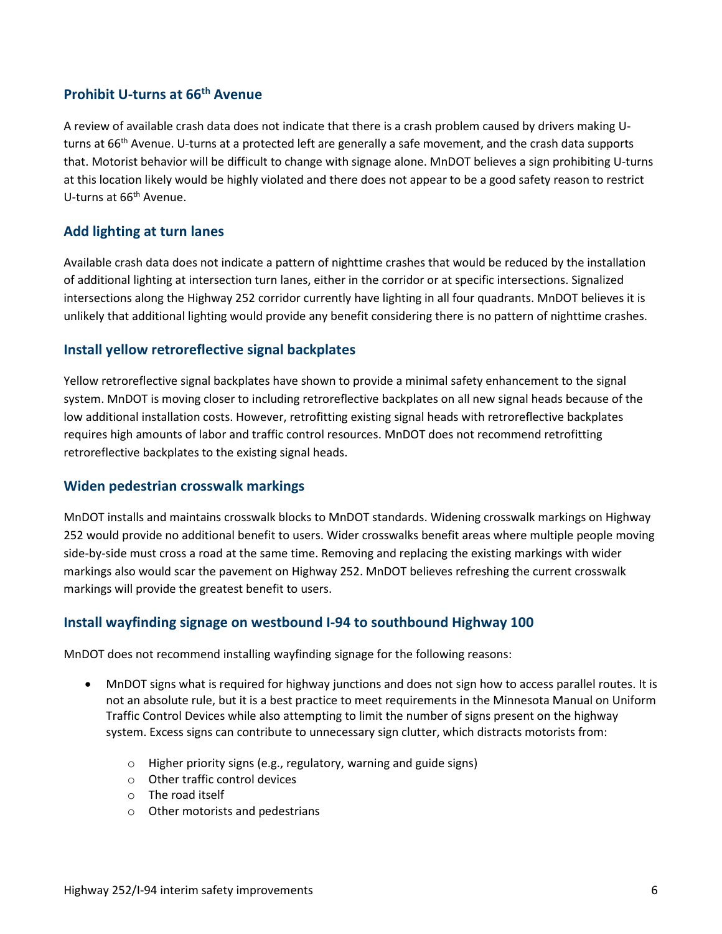#### **Prohibit U-turns at 66th Avenue**

A review of available crash data does not indicate that there is a crash problem caused by drivers making Uturns at 66<sup>th</sup> Avenue. U-turns at a protected left are generally a safe movement, and the crash data supports that. Motorist behavior will be difficult to change with signage alone. MnDOT believes a sign prohibiting U-turns at this location likely would be highly violated and there does not appear to be a good safety reason to restrict U-turns at 66th Avenue.

#### **Add lighting at turn lanes**

Available crash data does not indicate a pattern of nighttime crashes that would be reduced by the installation of additional lighting at intersection turn lanes, either in the corridor or at specific intersections. Signalized intersections along the Highway 252 corridor currently have lighting in all four quadrants. MnDOT believes it is unlikely that additional lighting would provide any benefit considering there is no pattern of nighttime crashes.

#### **Install yellow retroreflective signal backplates**

Yellow retroreflective signal backplates have shown to provide a minimal safety enhancement to the signal system. MnDOT is moving closer to including retroreflective backplates on all new signal heads because of the low additional installation costs. However, retrofitting existing signal heads with retroreflective backplates requires high amounts of labor and traffic control resources. MnDOT does not recommend retrofitting retroreflective backplates to the existing signal heads.

#### **Widen pedestrian crosswalk markings**

MnDOT installs and maintains crosswalk blocks to MnDOT standards. Widening crosswalk markings on Highway 252 would provide no additional benefit to users. Wider crosswalks benefit areas where multiple people moving side-by-side must cross a road at the same time. Removing and replacing the existing markings with wider markings also would scar the pavement on Highway 252. MnDOT believes refreshing the current crosswalk markings will provide the greatest benefit to users.

#### **Install wayfinding signage on westbound I-94 to southbound Highway 100**

MnDOT does not recommend installing wayfinding signage for the following reasons:

- MnDOT signs what is required for highway junctions and does not sign how to access parallel routes. It is not an absolute rule, but it is a best practice to meet requirements in the Minnesota Manual on Uniform Traffic Control Devices while also attempting to limit the number of signs present on the highway system. Excess signs can contribute to unnecessary sign clutter, which distracts motorists from:
	- o Higher priority signs (e.g., regulatory, warning and guide signs)
	- o Other traffic control devices
	- o The road itself
	- o Other motorists and pedestrians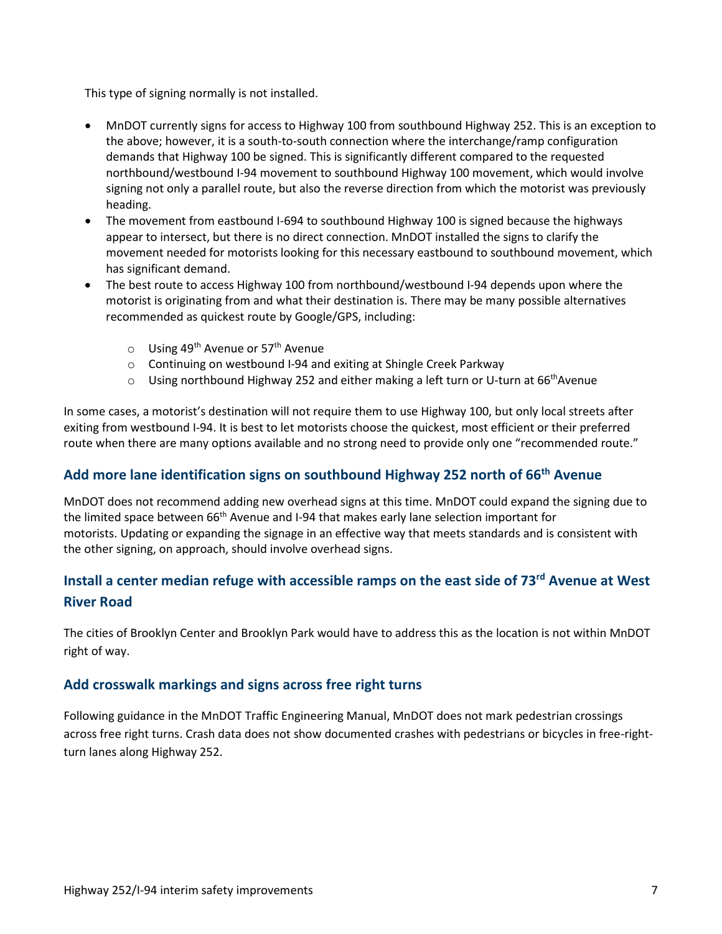This type of signing normally is not installed.

- MnDOT currently signs for access to Highway 100 from southbound Highway 252. This is an exception to the above; however, it is a south-to-south connection where the interchange/ramp configuration demands that Highway 100 be signed. This is significantly different compared to the requested northbound/westbound I-94 movement to southbound Highway 100 movement, which would involve signing not only a parallel route, but also the reverse direction from which the motorist was previously heading.
- The movement from eastbound I-694 to southbound Highway 100 is signed because the highways appear to intersect, but there is no direct connection. MnDOT installed the signs to clarify the movement needed for motorists looking for this necessary eastbound to southbound movement, which has significant demand.
- The best route to access Highway 100 from northbound/westbound I-94 depends upon where the motorist is originating from and what their destination is. There may be many possible alternatives recommended as quickest route by Google/GPS, including:
	- $\circ$  Using 49<sup>th</sup> Avenue or 57<sup>th</sup> Avenue
	- o Continuing on westbound I-94 and exiting at Shingle Creek Parkway
	- $\circ$  Using northbound Highway 252 and either making a left turn or U-turn at 66<sup>th</sup>Avenue

In some cases, a motorist's destination will not require them to use Highway 100, but only local streets after exiting from westbound I-94. It is best to let motorists choose the quickest, most efficient or their preferred route when there are many options available and no strong need to provide only one "recommended route."

### **Add more lane identification signs on southbound Highway 252 north of 66th Avenue**

MnDOT does not recommend adding new overhead signs at this time. MnDOT could expand the signing due to the limited space between 66<sup>th</sup> Avenue and I-94 that makes early lane selection important for motorists. Updating or expanding the signage in an effective way that meets standards and is consistent with the other signing, on approach, should involve overhead signs.

# **Install a center median refuge with accessible ramps on the east side of 73rd Avenue at West River Road**

The cities of Brooklyn Center and Brooklyn Park would have to address this as the location is not within MnDOT right of way.

#### **Add crosswalk markings and signs across free right turns**

Following guidance in the MnDOT Traffic Engineering Manual, MnDOT does not mark pedestrian crossings across free right turns. Crash data does not show documented crashes with pedestrians or bicycles in free-rightturn lanes along Highway 252.